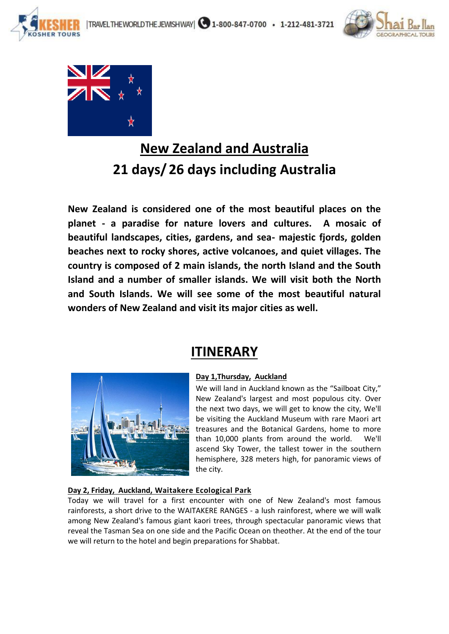





# **New Zealand and Australia 21 days/ 26 days including Australia**

**New Zealand is considered one of the most beautiful places on the planet - a paradise for nature lovers and cultures. A mosaic of beautiful landscapes, cities, gardens, and sea- majestic fjords, golden beaches next to rocky shores, active volcanoes, and quiet villages. The country is composed of 2 main islands, the north Island and the South Island and a number of smaller islands. We will visit both the North and South Islands. We will see some of the most beautiful natural wonders of New Zealand and visit its major cities as well.** 

## **ITINERARY**



#### **Day 1,Thursday, Auckland**

We will land in Auckland known as the "Sailboat City," New Zealand's largest and most populous city. Over the next two days, we will get to know the city, We'll be visiting the Auckland Museum with rare Maori art treasures and the Botanical Gardens, home to more than 10,000 plants from around the world. We'll ascend Sky Tower, the tallest tower in the southern hemisphere, 328 meters high, for panoramic views of the city.

#### **Day 2, Friday, Auckland, Waitakere Ecological Park**

Today we will travel for a first encounter with one of New Zealand's most famous rainforests, a short drive to the WAITAKERE RANGES - a lush rainforest, where we will walk among New Zealand's famous giant kaori trees, through spectacular panoramic views that reveal the Tasman Sea on one side and the Pacific Ocean on theother. At the end of the tour we will return to the hotel and begin preparations for Shabbat.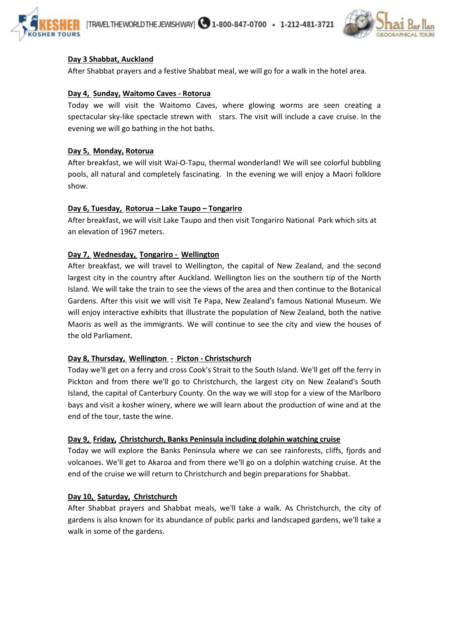

#### **Day 3 Shabbat, Auckland**

After Shabbat prayers and a festive Shabbat meal, we will go for a walk in the hotel area.

#### **Day 4, Sunday, Waitomo Caves - Rotorua**

Today we will visit the Waitomo Caves, where glowing worms are seen creating a spectacular sky-like spectacle strewn with stars. The visit will include a cave cruise. In the evening we will go bathing in the hot baths.

#### **Day 5, Monday, Rotorua**

After breakfast, we will visit Wai-O-Tapu, thermal wonderland! We will see colorful bubbling pools, all natural and completely fascinating. In the evening we will enjoy a Maori folklore show.

#### **Day 6, Tuesday, Rotorua – Lake Taupo – Tongariro**

After breakfast, we will visit Lake Taupo and then visit Tongariro National Park which sits at an elevation of 1967 meters.

#### **Day 7, Wednesday, Tongariro - Wellington**

After breakfast, we will travel to Wellington, the capital of New Zealand, and the second largest city in the country after Auckland. Wellington lies on the southern tip of the North Island. We will take the train to see the views of the area and then continue to the Botanical Gardens. After this visit we will visit Te Papa, New Zealand's famous National Museum. We will enjoy interactive exhibits that illustrate the population of New Zealand, both the native Maoris as well as the immigrants. We will continue to see the city and view the houses of the old Parliament.

#### **Day 8, Thursday, Wellington - Picton - Christschurch**

Today we'll get on a ferry and cross Cook's Strait to the South Island. We'll get off the ferry in Pickton and from there we'll go to Christchurch, the largest city on New Zealand's South Island, the capital of Canterbury County. On the way we will stop for a view of the Marlboro bays and visit a kosher winery, where we will learn about the production of wine and at the end of the tour, taste the wine.

#### **Day 9, Friday, Christchurch, Banks Peninsula including dolphin watching cruise**

Today we will explore the Banks Peninsula where we can see rainforests, cliffs, fjords and volcanoes. We'll get to Akaroa and from there we'll go on a dolphin watching cruise. At the end of the cruise we will return to Christchurch and begin preparations for Shabbat.

#### **Day 10, Saturday, Christchurch**

After Shabbat prayers and Shabbat meals, we'll take a walk. As Christchurch, the city of gardens is also known for its abundance of public parks and landscaped gardens, we'll take a walk in some of the gardens.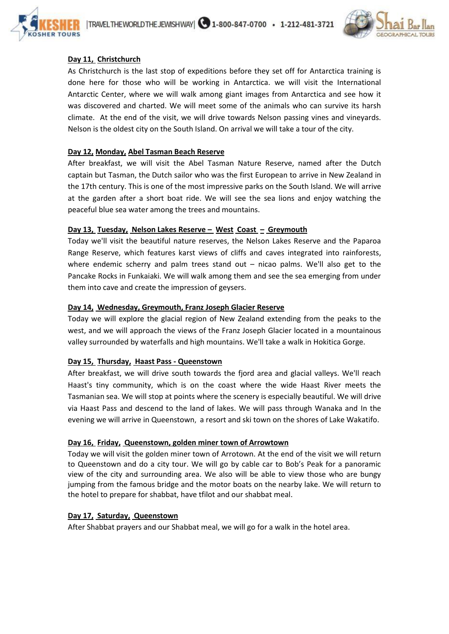



#### **Day 11, Christchurch**

As Christchurch is the last stop of expeditions before they set off for Antarctica training is done here for those who will be working in Antarctica. we will visit the International Antarctic Center, where we will walk among giant images from Antarctica and see how it was discovered and charted. We will meet some of the animals who can survive its harsh climate. At the end of the visit, we will drive towards Nelson passing vines and vineyards. Nelson is the oldest city on the South Island. On arrival we will take a tour of the city.

#### **Day 12, Monday, Abel Tasman Beach Reserve**

After breakfast, we will visit the Abel Tasman Nature Reserve, named after the Dutch captain but Tasman, the Dutch sailor who was the first European to arrive in New Zealand in the 17th century. This is one of the most impressive parks on the South Island. We will arrive at the garden after a short boat ride. We will see the sea lions and enjoy watching the peaceful blue sea water among the trees and mountains.

#### **Day 13, Tuesday, Nelson Lakes Reserve – West Coast – Greymouth**

Today we'll visit the beautiful nature reserves, the Nelson Lakes Reserve and the Paparoa Range Reserve, which features karst views of cliffs and caves integrated into rainforests, where endemic scherry and palm trees stand out  $-$  nicao palms. We'll also get to the Pancake Rocks in Funkaiaki. We will walk among them and see the sea emerging from under them into cave and create the impression of geysers.

#### **Day 14, Wednesday, Greymouth, Franz Joseph Glacier Reserve**

Today we will explore the glacial region of New Zealand extending from the peaks to the west, and we will approach the views of the Franz Joseph Glacier located in a mountainous valley surrounded by waterfalls and high mountains. We'll take a walk in Hokitica Gorge.

#### **Day 15, Thursday, Haast Pass - Queenstown**

After breakfast, we will drive south towards the fjord area and glacial valleys. We'll reach Haast's tiny community, which is on the coast where the wide Haast River meets the Tasmanian sea. We will stop at points where the scenery is especially beautiful. We will drive via Haast Pass and descend to the land of lakes. We will pass through Wanaka and In the evening we will arrive in Queenstown, a resort and ski town on the shores of Lake Wakatifo.

#### **Day 16, Friday, Queenstown, golden miner town of Arrowtown**

Today we will visit the golden miner town of Arrotown. At the end of the visit we will return to Queenstown and do a city tour. We will go by cable car to Bob's Peak for a panoramic view of the city and surrounding area. We also will be able to view those who are bungy jumping from the famous bridge and the motor boats on the nearby lake. We will return to the hotel to prepare for shabbat, have tfilot and our shabbat meal.

#### **Day 17, Saturday, Queenstown**

After Shabbat prayers and our Shabbat meal, we will go for a walk in the hotel area.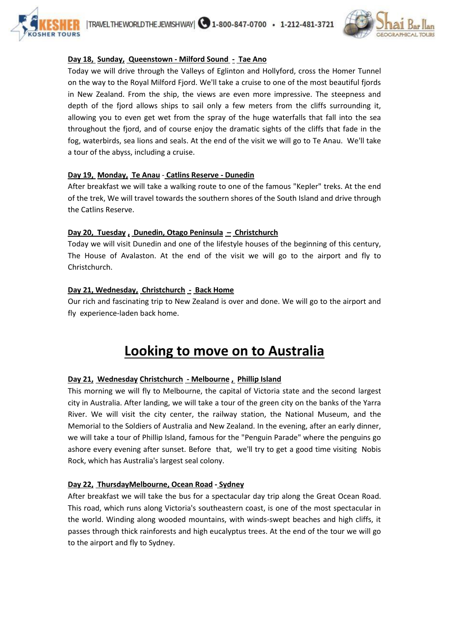



#### **Day 18, Sunday, Queenstown - Milford Sound - Tae Ano**

Today we will drive through the Valleys of Eglinton and Hollyford, cross the Homer Tunnel on the way to the Royal Milford Fjord. We'll take a cruise to one of the most beautiful fjords in New Zealand. From the ship, the views are even more impressive. The steepness and depth of the fjord allows ships to sail only a few meters from the cliffs surrounding it, allowing you to even get wet from the spray of the huge waterfalls that fall into the sea throughout the fjord, and of course enjoy the dramatic sights of the cliffs that fade in the fog, waterbirds, sea lions and seals. At the end of the visit we will go to Te Anau. We'll take a tour of the abyss, including a cruise.

#### **Day 19, Monday, Te Anau** - **Catlins Reserve - Dunedin**

After breakfast we will take a walking route to one of the famous "Kepler" treks. At the end of the trek, We will travel towards the southern shores of the South Island and drive through the Catlins Reserve.

#### **Day 20, Tuesday , Dunedin, Otago Peninsula – Christchurch**

Today we will visit Dunedin and one of the lifestyle houses of the beginning of this century, The House of Avalaston. At the end of the visit we will go to the airport and fly to Christchurch.

#### **Day 21, Wednesday, Christchurch - Back Home**

Our rich and fascinating trip to New Zealand is over and done. We will go to the airport and fly experience-laden back home.

### **Looking to move on to Australia**

#### **Day 21, Wednesday Christchurch - Melbourne , Phillip Island**

This morning we will fly to Melbourne, the capital of Victoria state and the second largest city in Australia. After landing, we will take a tour of the green city on the banks of the Yarra River. We will visit the city center, the railway station, the National Museum, and the Memorial to the Soldiers of Australia and New Zealand. In the evening, after an early dinner, we will take a tour of Phillip Island, famous for the "Penguin Parade" where the penguins go ashore every evening after sunset. Before that, we'll try to get a good time visiting Nobis Rock, which has Australia's largest seal colony.

#### **Day 22, ThursdayMelbourne, Ocean Road - Sydney**

After breakfast we will take the bus for a spectacular day trip along the Great Ocean Road. This road, which runs along Victoria's southeastern coast, is one of the most spectacular in the world. Winding along wooded mountains, with winds-swept beaches and high cliffs, it passes through thick rainforests and high eucalyptus trees. At the end of the tour we will go to the airport and fly to Sydney.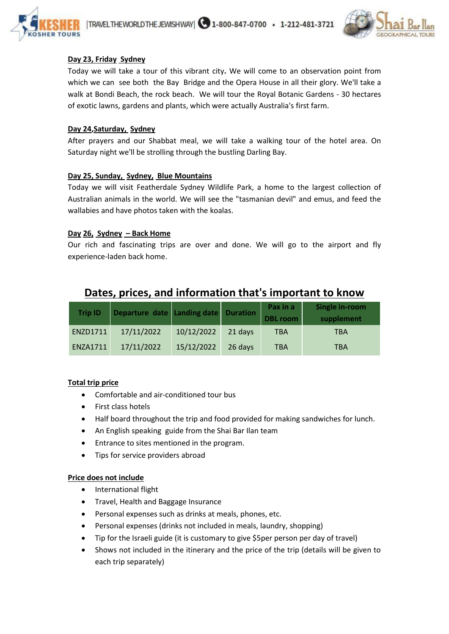



#### **Day 23, Friday Sydney**

Today we will take a tour of this vibrant city**.** We will come to an observation point from which we can see both the Bay Bridge and the Opera House in all their glory. We'll take a walk at Bondi Beach, the rock beach. We will tour the Royal Botanic Gardens - 30 hectares of exotic lawns, gardens and plants, which were actually Australia's first farm.

#### **Day 24,Saturday, Sydney**

After prayers and our Shabbat meal, we will take a walking tour of the hotel area. On Saturday night we'll be strolling through the bustling Darling Bay.

#### **Day 25, Sunday, Sydney, Blue Mountains**

Today we will visit Featherdale Sydney Wildlife Park, a home to the largest collection of Australian animals in the world. We will see the "tasmanian devil" and emus, and feed the wallabies and have photos taken with the koalas.

#### **Day 26, Sydney – Back Home**

Our rich and fascinating trips are over and done. We will go to the airport and fly experience-laden back home.

| <b>Trip ID</b>  | Departure date Landing date |            | <b>Duration</b> | Pax in a<br><b>DBL</b> room | Single in-room<br>supplement |
|-----------------|-----------------------------|------------|-----------------|-----------------------------|------------------------------|
| ENZD1711        | 17/11/2022                  | 10/12/2022 | 21 days         | <b>TBA</b>                  | TBA                          |
| <b>ENZA1711</b> | 17/11/2022                  | 15/12/2022 | 26 days         | <b>TBA</b>                  | TBA                          |

### **Dates, prices, and information that's important to know**

#### **Total trip price**

- Comfortable and air-conditioned tour bus
- First class hotels
- Half board throughout the trip and food provided for making sandwiches for lunch.
- An English speaking guide from the Shai Bar Ilan team
- Entrance to sites mentioned in the program.
- Tips for service providers abroad

#### **Price does not include**

- International flight
- Travel, Health and Baggage Insurance
- Personal expenses such as drinks at meals, phones, etc.
- Personal expenses (drinks not included in meals, laundry, shopping)
- Tip for the Israeli guide (it is customary to give \$5per person per day of travel)
- Shows not included in the itinerary and the price of the trip (details will be given to each trip separately)